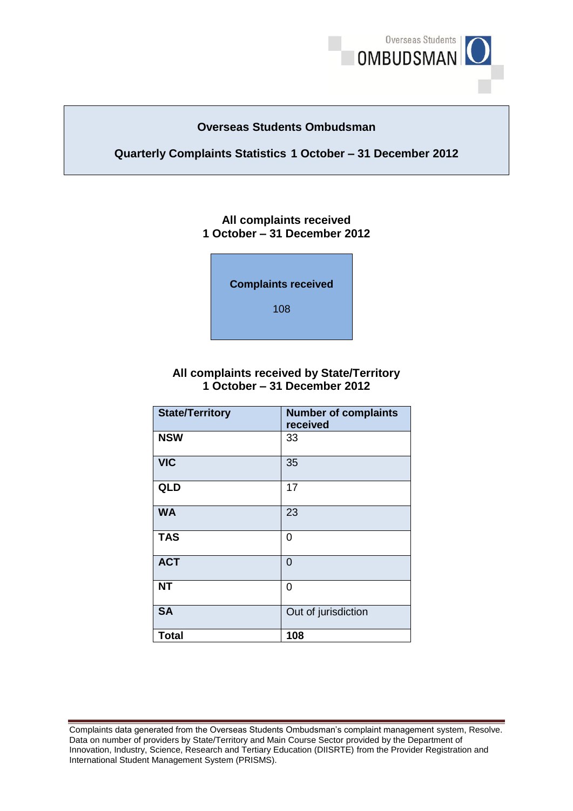

### **Overseas Students Ombudsman**

### **Quarterly Complaints Statistics 1 October – 31 December 2012**

### **1 October – 31 December 2012 All complaints received**



### **1 October – 31 December 2012 All complaints received by State/Territory**

| <b>State/Territory</b> | <b>Number of complaints</b><br>received |
|------------------------|-----------------------------------------|
| <b>NSW</b>             | 33                                      |
| <b>VIC</b>             | 35                                      |
| <b>QLD</b>             | 17                                      |
| <b>WA</b>              | 23                                      |
| <b>TAS</b>             | 0                                       |
| <b>ACT</b>             | $\overline{0}$                          |
| <b>NT</b>              | 0                                       |
| <b>SA</b>              | Out of jurisdiction                     |
| <b>Total</b>           | 108                                     |

Complaints data generated from the Overseas Students Ombudsman's complaint management system, Resolve. Complaints data generated from the Overseas Students Ombudsman's complaint management system, Resolve.<br>Data on number of providers by State/Territory and Main Course Sector provided by the Department of Innovation, Industry, Science, Research and Tertiary Education (DIISRTE) from the Provider Registration and International Student Management System (PRISMS).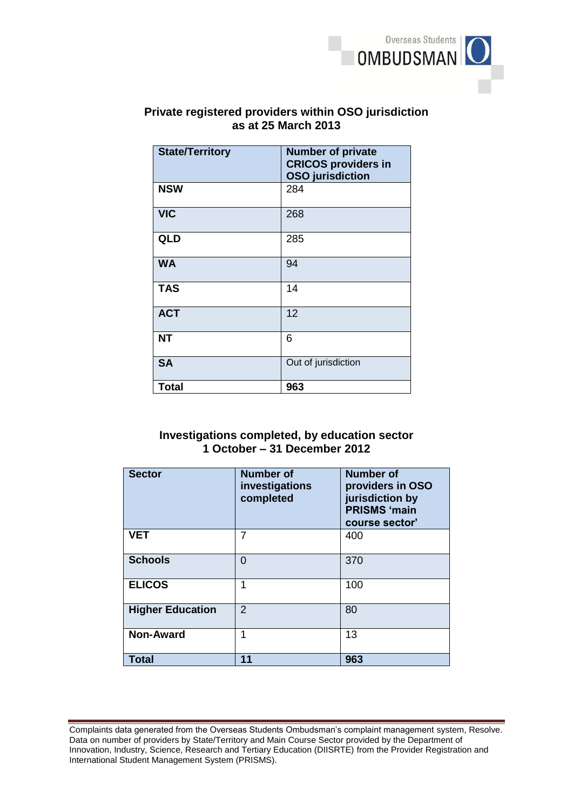

# **Private registered providers within OSO jurisdiction**

| as at 25 March 2013    |                                                                                   |  |
|------------------------|-----------------------------------------------------------------------------------|--|
| <b>State/Territory</b> | <b>Number of private</b><br><b>CRICOS providers in</b><br><b>OSO</b> jurisdiction |  |
| <b>NSW</b>             | 284                                                                               |  |
| <b>VIC</b>             | 268                                                                               |  |
| <b>QLD</b>             | 285                                                                               |  |
| <b>WA</b>              | 94                                                                                |  |
| <b>TAS</b>             | 14                                                                                |  |
| <b>ACT</b>             | 12                                                                                |  |
| <b>NT</b>              | 6                                                                                 |  |
| <b>SA</b>              | Out of jurisdiction                                                               |  |
| <b>Total</b>           | 963                                                                               |  |

## **1 October – 31 December 2012 Investigations completed, by education sector**

| <b>Sector</b>           | <b>Number of</b><br>investigations<br>completed | <b>Number of</b><br>providers in OSO<br>jurisdiction by<br><b>PRISMS 'main</b><br>course sector' |
|-------------------------|-------------------------------------------------|--------------------------------------------------------------------------------------------------|
| <b>VET</b>              | 7                                               | 400                                                                                              |
| <b>Schools</b>          | 0                                               | 370                                                                                              |
| <b>ELICOS</b>           | 1                                               | 100                                                                                              |
| <b>Higher Education</b> | $\mathcal{P}$                                   | 80                                                                                               |
| <b>Non-Award</b>        | 1                                               | 13                                                                                               |
| <b>Total</b>            | 11                                              | 963                                                                                              |

Complaints data generated from the Overseas Students Ombudsman's complaint management system, Resolve. Complaints data generated from the Overseas Students Ombudsman's complaint management system, Resolve.<br>Data on number of providers by State/Territory and Main Course Sector provided by the Department of Innovation, Industry, Science, Research and Tertiary Education (DIISRTE) from the Provider Registration and International Student Management System (PRISMS).